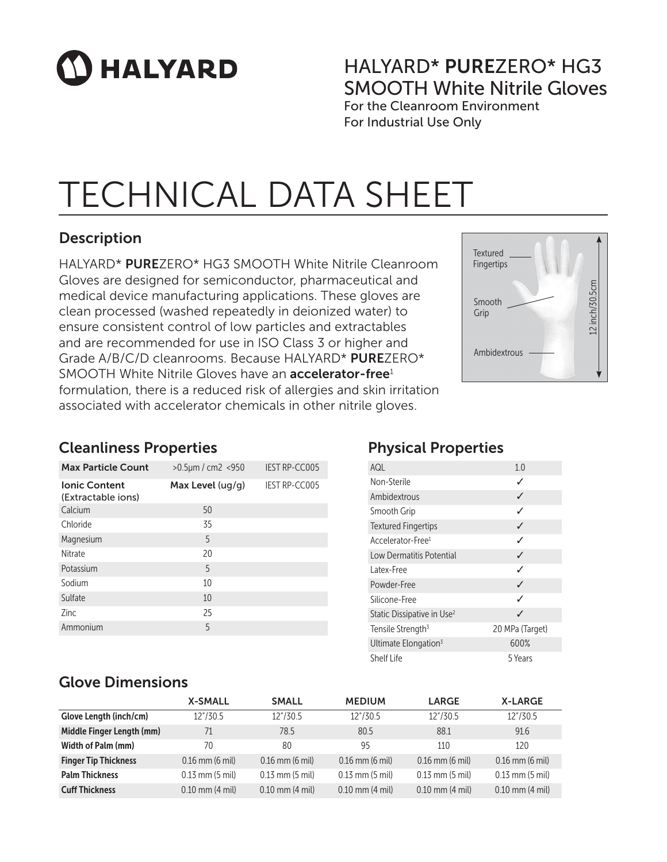# **HALYARD**

### HALYARD\* PUREZERO\* HG3 SMOOTH White Nitrile Gloves

For the Cleanroom Environment For Industrial Use Only

## TECHNICAL DATA SHEET

### Description

HALYARD\* PUREZERO\* HG3 SMOOTH White Nitrile Cleanroom Gloves are designed for semiconductor, pharmaceutical and medical device manufacturing applications. These gloves are clean processed (washed repeatedly in deionized water) to ensure consistent control of low particles and extractables and are recommended for use in ISO Class 3 or higher and Grade A/B/C/D cleanrooms. Because HALYARD\* PUREZERO\* SMOOTH White Nitrile Gloves have an **accelerator-free**<sup>1</sup> formulation, there is a reduced risk of allergies and skin irritation associated with accelerator chemicals in other nitrile gloves.



#### Cleanliness Properties

| <b>Max Particle Count</b>                  | $>0.5 \mu m$ / cm2 <950 | <b>IEST RP-CC005</b> |
|--------------------------------------------|-------------------------|----------------------|
| <b>Ionic Content</b><br>(Extractable ions) | Max Level $( uq/q)$     | <b>IEST RP-CC005</b> |
| Calcium                                    | 50                      |                      |
| Chloride                                   | 35                      |                      |
| Magnesium                                  | 5                       |                      |
| Nitrate                                    | 20                      |                      |
| Potassium                                  | 5                       |                      |
| Sodium                                     | 10                      |                      |
| Sulfate                                    | 10                      |                      |
| 7inc                                       | 25                      |                      |
| Ammonium                                   | 5                       |                      |

### Physical Properties

| AQL                                    | 1.0             |
|----------------------------------------|-----------------|
| Non-Sterile                            | ✓               |
| Ambidextrous                           | ✓               |
| Smooth Grip                            | ℐ               |
| <b>Textured Fingertips</b>             | ✓               |
| Accelerator-Free <sup>1</sup>          | ℐ               |
| Low Dermatitis Potential               | ✓               |
| l atex-Free                            | ℐ               |
| Powder-Free                            | ✓               |
| Silicone-Free                          | ✓               |
| Static Dissipative in Use <sup>2</sup> | J               |
| Tensile Strength <sup>3</sup>          | 20 MPa (Target) |
| Ultimate Elongation <sup>3</sup>       | 600%            |
| Shelf Life                             | 5 Years         |

#### Glove Dimensions

|                             | <b>X-SMALL</b>      | <b>SMALL</b>        | <b>MEDIUM</b>       | <b>LARGE</b>        | <b>X-LARGE</b>      |
|-----------------------------|---------------------|---------------------|---------------------|---------------------|---------------------|
| Glove Length (inch/cm)      | 12"/30.5            | 12"/30.5            | 12"/30.5            | 12"/30.5            | 12"/30.5            |
| Middle Finger Length (mm)   | 71                  | 78.5                | 80.5                | 88.1                | 91.6                |
| Width of Palm (mm)          | 70                  | 80                  | 95                  | 110                 | 120                 |
| <b>Finger Tip Thickness</b> | $0.16$ mm $(6$ mil) | $0.16$ mm $(6$ mil) | $0.16$ mm $(6$ mil) | $0.16$ mm $(6$ mil) | $0.16$ mm $(6$ mil) |
| <b>Palm Thickness</b>       | $0.13$ mm $(5$ mil) | $0.13$ mm $(5$ mil) | $0.13$ mm $(5$ mil) | $0.13$ mm $(5$ mil) | $0.13$ mm $(5$ mil) |
| <b>Cuff Thickness</b>       | $0.10$ mm $(4$ mil) | $0.10$ mm $(4$ mil) | $0.10$ mm $(4$ mil) | $0.10$ mm $(4$ mil) | $0.10$ mm $(4$ mil) |